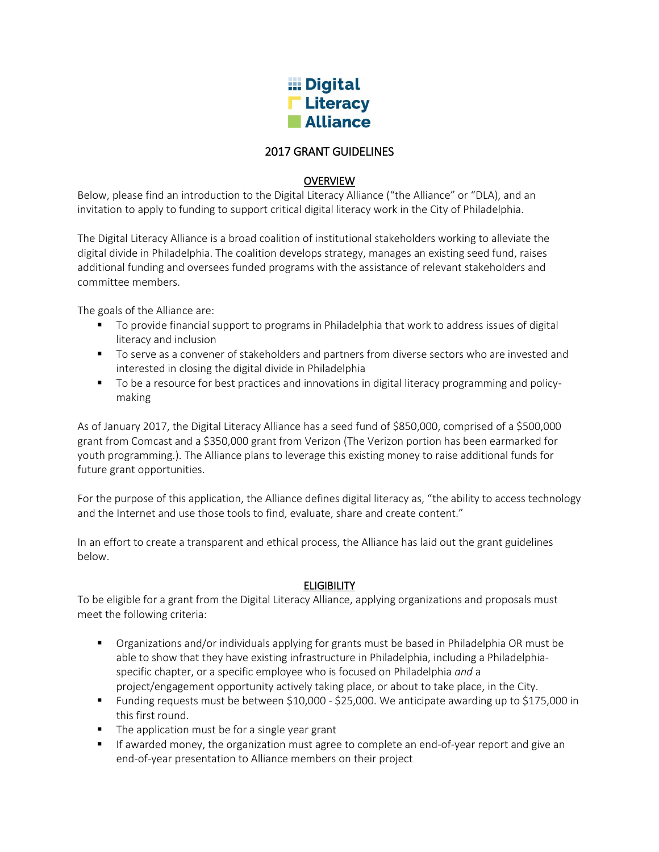

# 2017 GRANT GUIDELINES

## **OVERVIEW**

Below, please find an introduction to the Digital Literacy Alliance ("the Alliance" or "DLA), and an invitation to apply to funding to support critical digital literacy work in the City of Philadelphia.

The Digital Literacy Alliance is a broad coalition of institutional stakeholders working to alleviate the digital divide in Philadelphia. The coalition develops strategy, manages an existing seed fund, raises additional funding and oversees funded programs with the assistance of relevant stakeholders and committee members.

The goals of the Alliance are:

- To provide financial support to programs in Philadelphia that work to address issues of digital literacy and inclusion
- **THE STARK TO SERVIE SERVIET STARK IS SET AS SET STARK IS SET ADAMALER 19 IN STARK AND STARK IS SET STARK ISLEM** interested in closing the digital divide in Philadelphia
- **The State and State 1** objects on the variances and innovations in digital literacy programming and policymaking

As of January 2017, the Digital Literacy Alliance has a seed fund of \$850,000, comprised of a \$500,000 grant from Comcast and a \$350,000 grant from Verizon (The Verizon portion has been earmarked for youth programming.). The Alliance plans to leverage this existing money to raise additional funds for future grant opportunities.

For the purpose of this application, the Alliance defines digital literacy as, "the ability to access technology and the Internet and use those tools to find, evaluate, share and create content."

In an effort to create a transparent and ethical process, the Alliance has laid out the grant guidelines below.

## **ELIGIBILITY**

To be eligible for a grant from the Digital Literacy Alliance, applying organizations and proposals must meet the following criteria:

- Organizations and/or individuals applying for grants must be based in Philadelphia OR must be able to show that they have existing infrastructure in Philadelphia, including a Philadelphiaspecific chapter, or a specific employee who is focused on Philadelphia *and* a project/engagement opportunity actively taking place, or about to take place, in the City.
- Funding requests must be between \$10,000 \$25,000. We anticipate awarding up to \$175,000 in this first round.
- The application must be for a single year grant
- **If awarded money, the organization must agree to complete an end-of-year report and give an** end-of-year presentation to Alliance members on their project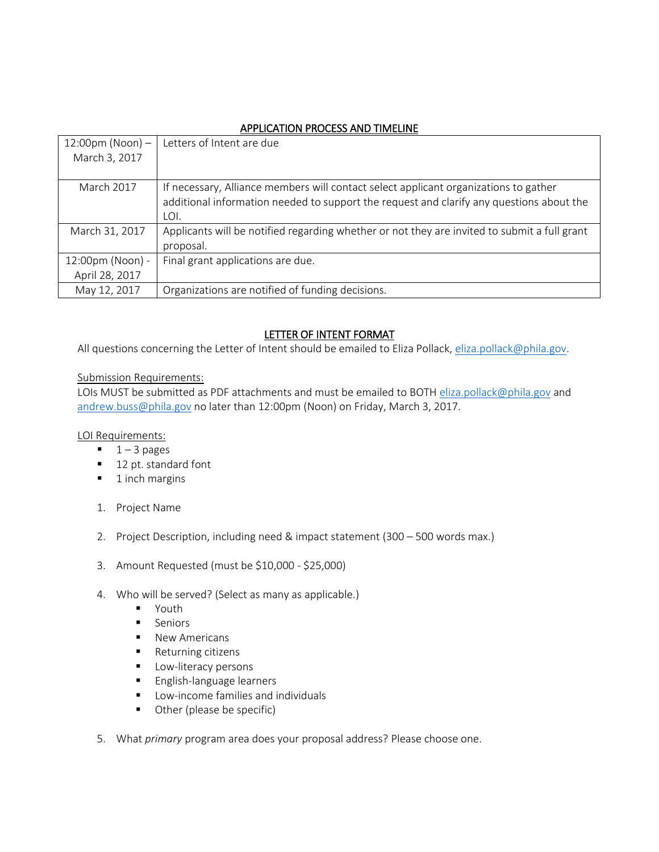# APPLICATION PROCESS AND TIMELINE

| $12:00 \text{pm}$ (Noon) -<br>March 3, 2017 | Letters of Intent are due                                                                    |
|---------------------------------------------|----------------------------------------------------------------------------------------------|
|                                             |                                                                                              |
| March 2017                                  | If necessary, Alliance members will contact select applicant organizations to gather         |
|                                             | additional information needed to support the request and clarify any questions about the     |
|                                             | LOI.                                                                                         |
| March 31, 2017                              | Applicants will be notified regarding whether or not they are invited to submit a full grant |
|                                             | proposal.                                                                                    |
| 12:00pm (Noon) -                            | Final grant applications are due.                                                            |
| April 28, 2017                              |                                                                                              |
| May 12, 2017                                | Organizations are notified of funding decisions.                                             |

# LETTER OF INTENT FORMAT

All questions concerning the Letter of Intent should be emailed to Eliza Pollack, [eliza.pollack@phila.gov.](mailto:eliza.pollack@phila.gov)

#### Submission Requirements:

LOIs MUST be submitted as PDF attachments and must be emailed to BOTH [eliza.pollack@phila.gov](mailto:eliza.pollack@phila.gov) and [andrew.buss@phila.gov](mailto:andrew.buss@phila.gov) no later than 12:00pm (Noon) on Friday, March 3, 2017.

## LOI Requirements:

- $1 3$  pages
- 12 pt. standard font
- $\blacksquare$  1 inch margins
- 1. Project Name
- 2. Project Description, including need & impact statement (300 500 words max.)
- 3. Amount Requested (must be \$10,000 \$25,000)
- 4. Who will be served? (Select as many as applicable.)
	- **•** Youth
	- **Seniors**
	- **New Americans**
	- Returning citizens
	- **Low-literacy persons**
	- **English-language learners**
	- **E** Low-income families and individuals
	- **Other (please be specific)**
- 5. What *primary* program area does your proposal address? Please choose one.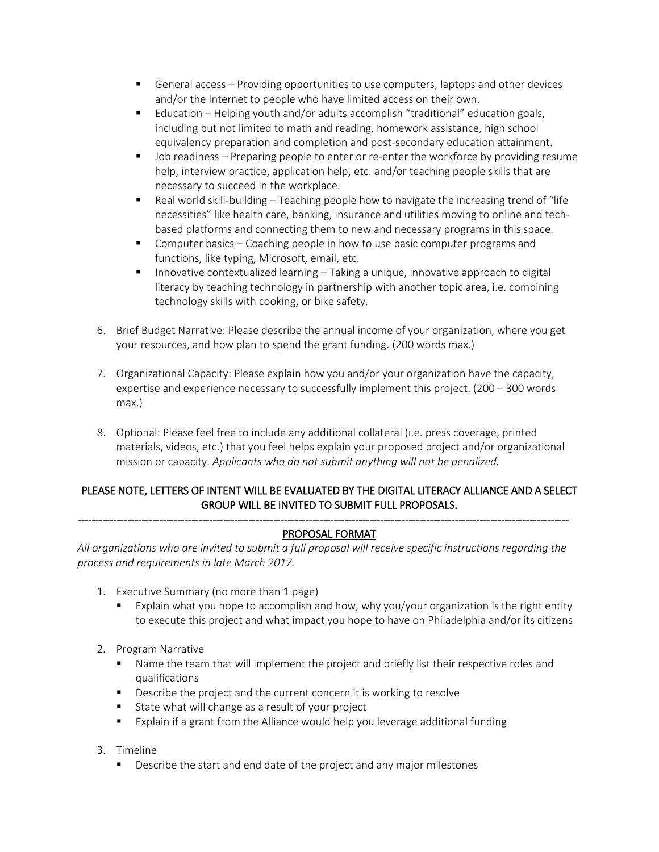- General access Providing opportunities to use computers, laptops and other devices and/or the Internet to people who have limited access on their own.
- Education Helping youth and/or adults accomplish "traditional" education goals, including but not limited to math and reading, homework assistance, high school equivalency preparation and completion and post-secondary education attainment.
- Job readiness Preparing people to enter or re-enter the workforce by providing resume help, interview practice, application help, etc. and/or teaching people skills that are necessary to succeed in the workplace.
- **F** Real world skill-building Teaching people how to navigate the increasing trend of "life necessities" like health care, banking, insurance and utilities moving to online and techbased platforms and connecting them to new and necessary programs in this space.
- **Computer basics Coaching people in how to use basic computer programs and** functions, like typing, Microsoft, email, etc.
- **Innovative contextualized learning Taking a unique, innovative approach to digital** literacy by teaching technology in partnership with another topic area, i.e. combining technology skills with cooking, or bike safety.
- 6. Brief Budget Narrative: Please describe the annual income of your organization, where you get your resources, and how plan to spend the grant funding. (200 words max.)
- 7. Organizational Capacity: Please explain how you and/or your organization have the capacity, expertise and experience necessary to successfully implement this project. (200 – 300 words max.)
- 8. Optional: Please feel free to include any additional collateral (i.e. press coverage, printed materials, videos, etc.) that you feel helps explain your proposed project and/or organizational mission or capacity. *Applicants who do not submit anything will not be penalized.*

# PLEASE NOTE, LETTERS OF INTENT WILL BE EVALUATED BY THE DIGITAL LITERACY ALLIANCE AND A SELECT GROUP WILL BE INVITED TO SUBMIT FULL PROPOSALS.

#### ------------------------------------------------------------------------------------------------------------------------------------------ PROPOSAL FORMAT

*All organizations who are invited to submit a full proposal will receive specific instructions regarding the process and requirements in late March 2017.*

- 1. Executive Summary (no more than 1 page)
	- Explain what you hope to accomplish and how, why you/your organization is the right entity to execute this project and what impact you hope to have on Philadelphia and/or its citizens
- 2. Program Narrative
	- Name the team that will implement the project and briefly list their respective roles and qualifications
	- **Describe the project and the current concern it is working to resolve**
	- State what will change as a result of your project
	- Explain if a grant from the Alliance would help you leverage additional funding
- 3. Timeline
	- **Describe the start and end date of the project and any major milestones**